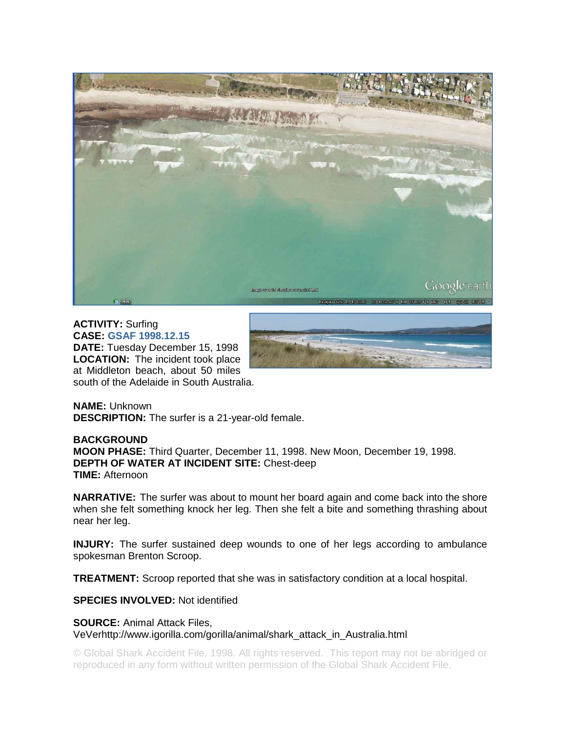

**ACTIVITY:** Surfing **CASE: GSAF 1998.12.15 DATE:** Tuesday December 15, 1998 **LOCATION:** The incident took place at Middleton beach, about 50 miles south of the Adelaide in South Australia.



**NAME:** Unknown **DESCRIPTION:** The surfer is a 21-year-old female.

## **BACKGROUND**

**MOON PHASE:** Third Quarter, December 11, 1998. New Moon, December 19, 1998. **DEPTH OF WATER AT INCIDENT SITE:** Chest-deep **TIME:** Afternoon

**NARRATIVE:** The surfer was about to mount her board again and come back into the shore when she felt something knock her leg. Then she felt a bite and something thrashing about near her leg.

**INJURY:** The surfer sustained deep wounds to one of her legs according to ambulance spokesman Brenton Scroop.

**TREATMENT:** Scroop reported that she was in satisfactory condition at a local hospital.

**SPECIES INVOLVED:** Not identified

## **SOURCE:** Animal Attack Files,

VeVerhttp://www.igorilla.com/gorilla/animal/shark\_attack\_in\_Australia.html

© Global Shark Accident File, 1998. All rights reserved. This report may not be abridged or reproduced in any form without written permission of the Global Shark Accident File.